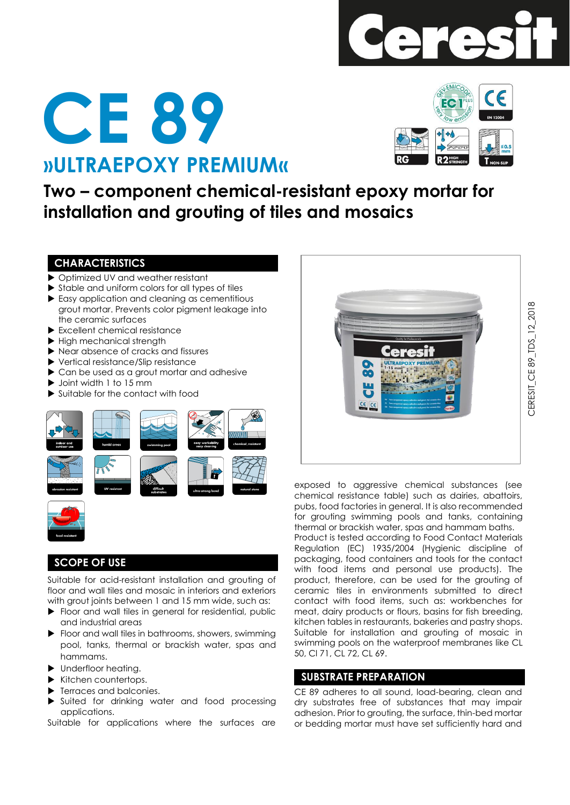

# **»ULTRAEPOXY PREMIUM« CE 89**



**Two – component chemical-resistant epoxy mortar for installation and grouting of tiles and mosaics**

# **CHARACTERISTICS**

- ▶ Optimized UV and weather resistant
- Stable and uniform colors for all types of tiles
- Easy application and cleaning as cementitious grout mortar. Prevents color pigment leakage into the ceramic surfaces
- Excellent chemical resistance
- High mechanical strength
- ▶ Near absence of cracks and fissures
- ▶ Vertical resistance/Slip resistance
- ▶ Can be used as a grout mortar and adhesive
- ▶ Joint width 1 to 15 mm
- Suitable for the contact with food





# **SCOPE OF USE**

Suitable for acid-resistant installation and grouting of floor and wall tiles and mosaic in interiors and exteriors with grout joints between 1 and 15 mm wide, such as:

- Floor and wall tiles in general for residential, public and industrial areas
- Floor and wall tiles in bathrooms, showers, swimming pool, tanks, thermal or brackish water, spas and hammams.
- $\blacktriangleright$  Underfloor heating.
- $\blacktriangleright$  Kitchen countertops.
- Terraces and balconies.
- Suited for drinking water and food processing applications.

Suitable for applications where the surfaces are



exposed to aggressive chemical substances (see chemical resistance table) such as dairies, abattoirs, pubs, food factories in general. It is also recommended for grouting swimming pools and tanks, containing thermal or brackish water, spas and hammam baths. Product is tested according to Food Contact Materials Regulation (EC) 1935/2004 (Hygienic discipline of packaging, food containers and tools for the contact with food items and personal use products). The product, therefore, can be used for the grouting of ceramic tiles in environments submitted to direct contact with food items, such as: workbenches for meat, dairy products or flours, basins for fish breeding, kitchen tables in restaurants, bakeries and pastry shops. Suitable for installation and grouting of mosaic in swimming pools on the waterproof membranes like CL 50, Cl 71, CL 72, CL 69.

# **SUBSTRATE PREPARATION**

CE 89 adheres to all sound, load-bearing, clean and dry substrates free of substances that may impair adhesion. Prior to grouting, the surface, thin-bed mortar or bedding mortar must have set sufficiently hard and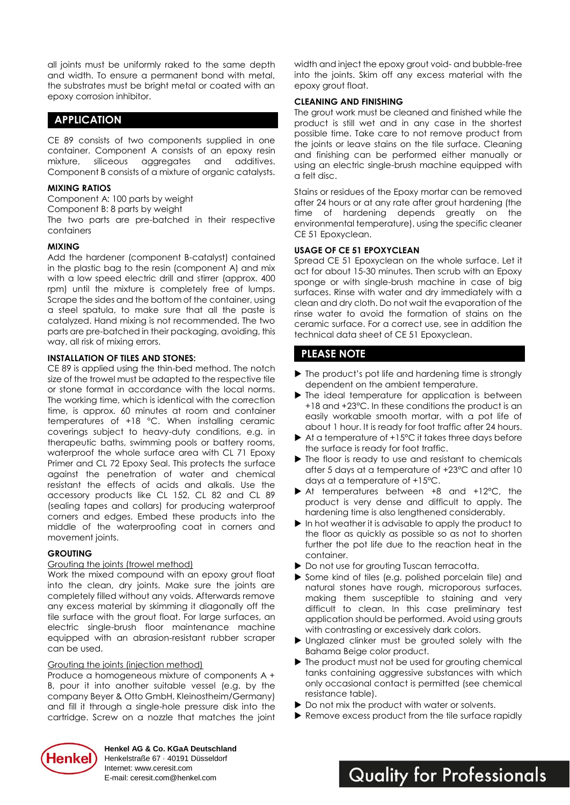all joints must be uniformly raked to the same depth and width. To ensure a permanent bond with metal, the substrates must be bright metal or coated with an epoxy corrosion inhibitor.

# **APPLICATION**

CE 89 consists of two components supplied in one container. Component A consists of an epoxy resin mixture, siliceous aggregates and additives. Component B consists of a mixture of organic catalysts.

#### **MIXING RATIOS**

Component A: 100 parts by weight

Component B: 8 parts by weight

The two parts are pre-batched in their respective containers

#### **MIXING**

Add the hardener (component B-catalyst) contained in the plastic bag to the resin (component A) and mix with a low speed electric drill and stirrer (approx. 400 rpm) until the mixture is completely free of lumps. Scrape the sides and the bottom of the container, using a steel spatula, to make sure that all the paste is catalyzed. Hand mixing is not recommended. The two parts are pre-batched in their packaging, avoiding, this way, all risk of mixing errors.

#### **INSTALLATION OF TILES AND STONES:**

CE 89 is applied using the thin-bed method. The notch size of the trowel must be adapted to the respective tile or stone format in accordance with the local norms. The working time, which is identical with the correction time, is approx. 60 minutes at room and container temperatures of +18 °C. When installing ceramic coverings subject to heavy-duty conditions, e.g. in therapeutic baths, swimming pools or battery rooms, waterproof the whole surface area with CL 71 Epoxy Primer and CL 72 Epoxy Seal. This protects the surface against the penetration of water and chemical resistant the effects of acids and alkalis. Use the accessory products like CL 152, CL 82 and CL 89 (sealing tapes and collars) for producing waterproof corners and edges. Embed these products into the middle of the waterproofing coat in corners and movement joints.

## **GROUTING**

#### Grouting the joints (trowel method)

Work the mixed compound with an epoxy grout float into the clean, dry joints. Make sure the joints are completely filled without any voids. Afterwards remove any excess material by skimming it diagonally off the tile surface with the grout float. For large surfaces, an electric single-brush floor maintenance machine equipped with an abrasion-resistant rubber scraper can be used.

#### Grouting the joints (injection method)

Produce a homogeneous mixture of components A + B, pour it into another suitable vessel (e.g. by the company Beyer & Otto GmbH, Kleinostheim/Germany) and fill it through a single-hole pressure disk into the cartridge. Screw on a nozzle that matches the joint width and inject the epoxy grout void- and bubble-free into the joints. Skim off any excess material with the epoxy grout float.

#### **CLEANING AND FINISHING**

The grout work must be cleaned and finished while the product is still wet and in any case in the shortest possible time. Take care to not remove product from the joints or leave stains on the tile surface. Cleaning and finishing can be performed either manually or using an electric single-brush machine equipped with a felt disc.

Stains or residues of the Epoxy mortar can be removed after 24 hours or at any rate after grout hardening (the time of hardening depends greatly on the environmental temperature), using the specific cleaner CE 51 Epoxyclean.

#### **USAGE OF CE 51 EPOXYCLEAN**

Spread CE 51 Epoxyclean on the whole surface. Let it act for about 15-30 minutes. Then scrub with an Epoxy sponge or with single-brush machine in case of big surfaces. Rinse with water and dry immediately with a clean and dry cloth. Do not wait the evaporation of the rinse water to avoid the formation of stains on the ceramic surface. For a correct use, see in addition the technical data sheet of CE 51 Epoxyclean.

# **PLEASE NOTE**

- ▶ The product's pot life and hardening time is strongly dependent on the ambient temperature.
- $\blacktriangleright$  The ideal temperature for application is between +18 and +23°C. In these conditions the product is an easily workable smooth mortar, with a pot life of about 1 hour. It is ready for foot traffic after 24 hours.
- $\blacktriangleright$  At a temperature of  $+15^{\circ}$ C it takes three days before the surface is ready for foot traffic.
- $\blacktriangleright$  The floor is ready to use and resistant to chemicals after 5 days at a temperature of +23°C and after 10 days at a temperature of +15°C.
- ▶ At temperatures between +8 and +12 °C, the product is very dense and difficult to apply. The hardening time is also lengthened considerably.
- In hot weather it is advisable to apply the product to the floor as quickly as possible so as not to shorten further the pot life due to the reaction heat in the container.
- ▶ Do not use for grouting Tuscan terracotta.
- Some kind of tiles (e.g. polished porcelain tile) and natural stones have rough, microporous surfaces, making them susceptible to staining and very difficult to clean. In this case preliminary test application should be performed. Avoid using grouts with contrasting or excessively dark colors.
- Unglazed clinker must be grouted solely with the Bahama Beige color product.
- $\blacktriangleright$  The product must not be used for grouting chemical tanks containing aggressive substances with which only occasional contact is permitted (see chemical resistance table).
- Do not mix the product with water or solvents.
- Remove excess product from the tile surface rapidly

**Quality for Professionals** 



**Henkel AG & Co. KGaA Deutschland**

Henkelstraße 67 · 40191 Düsseldorf Internet: www.ceresit.com E-mail: ceresit.com@henkel.com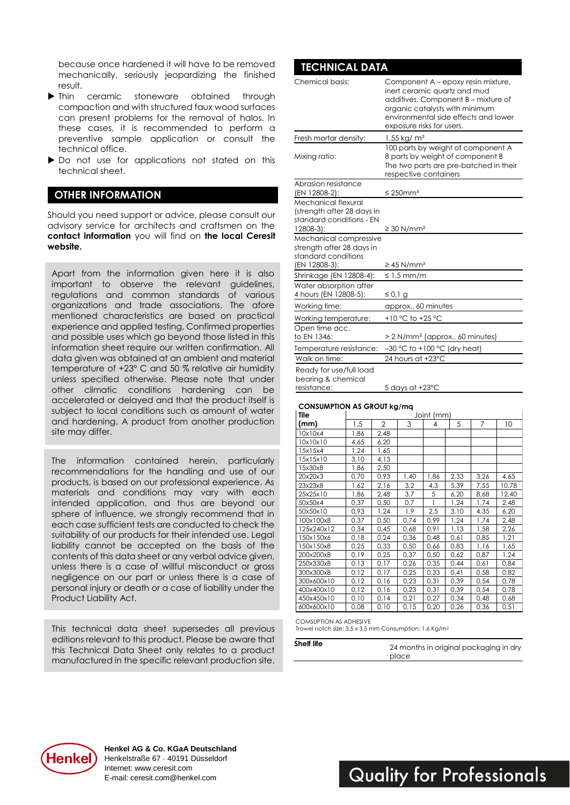because once hardened it will have to be removed mechanically, seriously jeopardizing the finished result.

- Ihin ceramic stoneware obtained through compaction and with structured faux wood surfaces can present problems for the removal of halos. In these cases, it is recommended to perform a preventive sample application or consult the technical office.
- Do not use for applications not stated on this technical sheet.

## **OTHER INFORMATION**

Should you need support or advice, please consult our advisory service for architects and craftsmen on the **contact information** you will find on **the local Ceresit website.**

Apart from the information given here it is also important to observe the relevant guidelines, regulations and common standards of various organizations and trade associations. The afore mentioned characteristics are based on practical experience and applied testing. Confirmed properties and possible uses which go beyond those listed in this information sheet require our written confirmation. All data given was obtained at an ambient and material temperature of +23° C and 50 % relative air humidity unless specified otherwise. Please note that under other climatic conditions hardening can be accelerated or delayed and that the product itself is subject to local conditions such as amount of water and hardening. A product from another production site may differ.

The information contained herein, particularly recommendations for the handling and use of our products, is based on our professional experience. As materials and conditions may vary with each intended application, and thus are beyond our sphere of influence, we strongly recommend that in each case sufficient tests are conducted to check the suitability of our products for their intended use. Legal liability cannot be accepted on the basis of the contents of this data sheet or any verbal advice given, unless there is a case of willful misconduct or gross negligence on our part or unless there is a case of personal injury or death or a case of liability under the Product Liability Act.

This technical data sheet supersedes all previous editions relevant to this product. Please be aware that this Technical Data Sheet only relates to a product manufactured in the specific relevant production site.

| IECHNICAL DAIA                                                                              |                                                                                                                                                                                                                  |
|---------------------------------------------------------------------------------------------|------------------------------------------------------------------------------------------------------------------------------------------------------------------------------------------------------------------|
| Chemical basis:                                                                             | Component A - epoxy resin mixture,<br>inert ceramic quartz and mud<br>additives. Component B - mixture of<br>organic catalysts with minimum<br>environmental side effects and lower<br>exposure risks for users. |
| Fresh mortar density:                                                                       | 1.55 kg/ $m2$                                                                                                                                                                                                    |
| Mixing ratio:                                                                               | 100 parts by weight of component A<br>8 parts by weight of component B<br>The two parts are pre-batched in their<br>respective containers                                                                        |
| Abrasion resistance                                                                         |                                                                                                                                                                                                                  |
| (EN 12808-2):                                                                               | $\leq$ 250mm <sup>3</sup>                                                                                                                                                                                        |
| Mechanical flexural<br>(strength after 28 days in<br>standard conditions - EN<br>12808-3):  | $\geq$ 30 N/mm <sup>2</sup>                                                                                                                                                                                      |
| Mechanical compressive<br>strength after 28 days in<br>standard conditions<br>(EN 12808-3): | $\geq$ 45 N/mm <sup>2</sup>                                                                                                                                                                                      |
| Shrinkage (EN 12808-4):                                                                     | $\leq 1.5$ mm/m                                                                                                                                                                                                  |
| Water absorption after<br>4 hours (EN 12808-5):                                             | ≤ 0,1 g                                                                                                                                                                                                          |
| Working time:                                                                               | approx 60 minutes                                                                                                                                                                                                |
| Working temperature:                                                                        | +10 °C to +25 °C                                                                                                                                                                                                 |
| Open time acc.<br>to EN 1346:                                                               | > 2 N/mm <sup>2</sup> (approx 60 minutes)                                                                                                                                                                        |
| Temperature resistance:                                                                     | $-30$ °C to +100 °C (dry heat)                                                                                                                                                                                   |
| Walk on time:                                                                               | 24 hours at +23°C                                                                                                                                                                                                |
| Ready for use/full load<br>bearing & chemical<br>resistance:                                | 5 days at +23°C                                                                                                                                                                                                  |

#### **CONSUMPTION AS GROUT kg/mq**

| Tile       | Joint (mm) |                |      |      |      |      |       |
|------------|------------|----------------|------|------|------|------|-------|
| (mm)       | 1,5        | $\overline{2}$ | 3    | 4    | 5    | 7    | 10    |
| 10x10x4    | 1,86       | 2,48           |      |      |      |      |       |
| 10x10x10   | 4,65       | 6,20           |      |      |      |      |       |
| 15x15x4    | 1,24       | 1,65           |      |      |      |      |       |
| 15x15x10   | 3,10       | 4,13           |      |      |      |      |       |
| 15x30x8    | 1,86       | 2,50           |      |      |      |      |       |
| 20x20x3    | 0,70       | 0,93           | 1,40 | 1,86 | 2,33 | 3,26 | 4,65  |
| 23x23x8    | 1,62       | 2,16           | 3,2  | 4,3  | 5,39 | 7,55 | 10,78 |
| 25x25x10   | 1,86       | 2,48           | 3,7  | 5    | 6,20 | 8,68 | 12,40 |
| 50x50x4    | 0,37       | 0,50           | 0,7  | 1    | 1,24 | 1,74 | 2,48  |
| 50x50x10   | 0,93       | 1,24           | 1,9  | 2,5  | 3,10 | 4,35 | 6,20  |
| 100x100x8  | 0,37       | 0,50           | 0,74 | 0,99 | 1,24 | 1,74 | 2,48  |
| 125x240x12 | 0,34       | 0,45           | 0,68 | 0,91 | 1,13 | 1,58 | 2,26  |
| 150x150x6  | 0,18       | 0,24           | 0,36 | 0,48 | 0,61 | 0,85 | 1,21  |
| 150x150x8  | 0,25       | 0,33           | 0,50 | 0,66 | 0,83 | 1,16 | 1,65  |
| 200x200x8  | 0,19       | 0,25           | 0,37 | 0,50 | 0,62 | 0,87 | 1,24  |
| 250x330x8  | 0,13       | 0,17           | 0,26 | 0,35 | 0,44 | 0,61 | 0,84  |
| 300x300x8  | 0,12       | 0,17           | 0,25 | 0,33 | 0,41 | 0,58 | 0,82  |
| 300x600x10 | 0,12       | 0,16           | 0,23 | 0,31 | 0,39 | 0,54 | 0,78  |
| 400x400x10 | 0,12       | 0,16           | 0,23 | 0,31 | 0,39 | 0,54 | 0,78  |
| 450x450x10 | 0,10       | 0,14           | 0,21 | 0,27 | 0,34 | 0,48 | 0,68  |
| 600x600x10 | 0,08       | 0,10           | 0,15 | 0,20 | 0,26 | 0,36 | 0,51  |

COMSUPTION AS ADHESIVE

Trowel notch size: 3,5 x 3,5 mm Consumption: 1,6 Kg/m<sup>2</sup>

| Shelf life | 24 months in original packaging in dry |
|------------|----------------------------------------|
|            | place                                  |